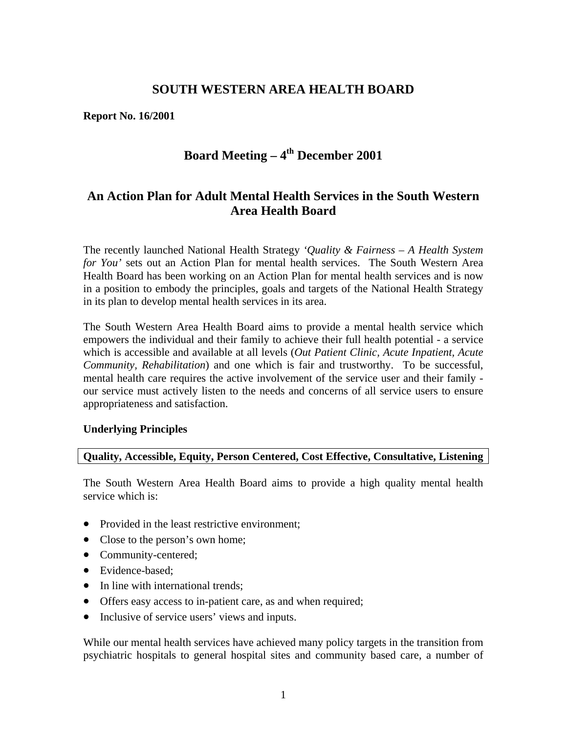# **SOUTH WESTERN AREA HEALTH BOARD**

**Report No. 16/2001** 

# Board Meeting – 4<sup>th</sup> December 2001

# **An Action Plan for Adult Mental Health Services in the South Western Area Health Board**

The recently launched National Health Strategy *'Quality & Fairness – A Health System for You'* sets out an Action Plan for mental health services. The South Western Area Health Board has been working on an Action Plan for mental health services and is now in a position to embody the principles, goals and targets of the National Health Strategy in its plan to develop mental health services in its area.

The South Western Area Health Board aims to provide a mental health service which empowers the individual and their family to achieve their full health potential - a service which is accessible and available at all levels (*Out Patient Clinic, Acute Inpatient, Acute Community, Rehabilitation*) and one which is fair and trustworthy. To be successful, mental health care requires the active involvement of the service user and their family our service must actively listen to the needs and concerns of all service users to ensure appropriateness and satisfaction.

## **Underlying Principles**

# **Quality, Accessible, Equity, Person Centered, Cost Effective, Consultative, Listening**

The South Western Area Health Board aims to provide a high quality mental health service which is:

- Provided in the least restrictive environment;
- Close to the person's own home;
- Community-centered;
- Evidence-based;
- In line with international trends;
- Offers easy access to in-patient care, as and when required;
- Inclusive of service users' views and inputs.

While our mental health services have achieved many policy targets in the transition from psychiatric hospitals to general hospital sites and community based care, a number of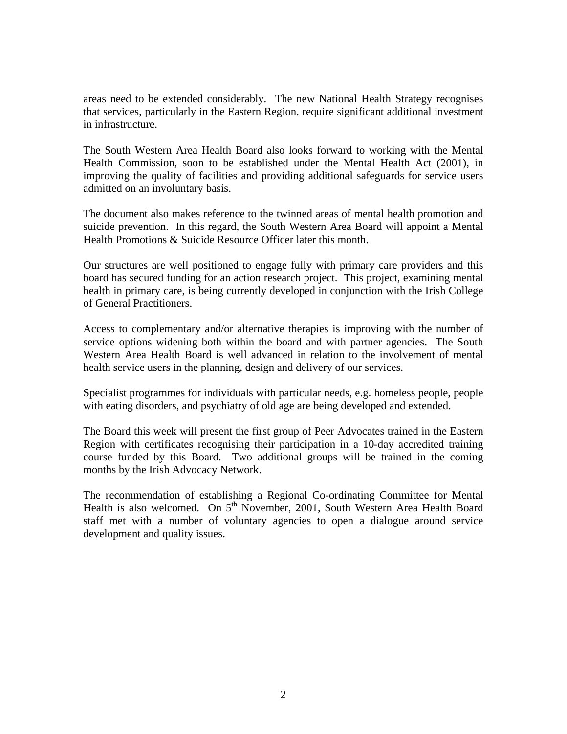areas need to be extended considerably. The new National Health Strategy recognises that services, particularly in the Eastern Region, require significant additional investment in infrastructure.

The South Western Area Health Board also looks forward to working with the Mental Health Commission, soon to be established under the Mental Health Act (2001), in improving the quality of facilities and providing additional safeguards for service users admitted on an involuntary basis.

The document also makes reference to the twinned areas of mental health promotion and suicide prevention. In this regard, the South Western Area Board will appoint a Mental Health Promotions & Suicide Resource Officer later this month.

Our structures are well positioned to engage fully with primary care providers and this board has secured funding for an action research project. This project, examining mental health in primary care, is being currently developed in conjunction with the Irish College of General Practitioners.

Access to complementary and/or alternative therapies is improving with the number of service options widening both within the board and with partner agencies. The South Western Area Health Board is well advanced in relation to the involvement of mental health service users in the planning, design and delivery of our services.

Specialist programmes for individuals with particular needs, e.g. homeless people, people with eating disorders, and psychiatry of old age are being developed and extended.

The Board this week will present the first group of Peer Advocates trained in the Eastern Region with certificates recognising their participation in a 10-day accredited training course funded by this Board. Two additional groups will be trained in the coming months by the Irish Advocacy Network.

The recommendation of establishing a Regional Co-ordinating Committee for Mental Health is also welcomed. On  $5<sup>th</sup>$  November, 2001, South Western Area Health Board staff met with a number of voluntary agencies to open a dialogue around service development and quality issues.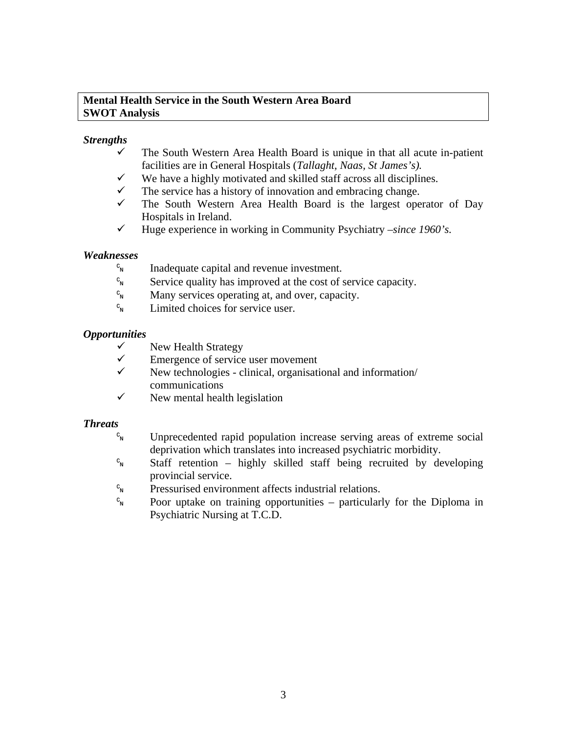## **Mental Health Service in the South Western Area Board SWOT Analysis**

# *Strengths*

- The South Western Area Health Board is unique in that all acute in-patient facilities are in General Hospitals (*Tallaght, Naas, St James's).*
- $\checkmark$  We have a highly motivated and skilled staff across all disciplines.
- $\checkmark$  The service has a history of innovation and embracing change.
- $\checkmark$  The South Western Area Health Board is the largest operator of Day Hospitals in Ireland.
- $\checkmark$  Huge experience in working in Community Psychiatry *–since 1960's.*

# *Weaknesses*

- $C_N$  Inadequate capital and revenue investment.
- $c_{N}$  Service quality has improved at the cost of service capacity.
- $c_{\rm N}$  Many services operating at, and over, capacity.
- $c_{\rm N}$  Limited choices for service user.

# *Opportunities*

- $\checkmark$  New Health Strategy
- $\checkmark$  Emergence of service user movement
- $\checkmark$  New technologies clinical, organisational and information/ communications
- $\checkmark$  New mental health legislation

# *Threats*

- $c_{\rm N}$  Unprecedented rapid population increase serving areas of extreme social deprivation which translates into increased psychiatric morbidity.
- $c_{N}$  Staff retention highly skilled staff being recruited by developing provincial service.
- $c_{\rm N}$  Pressurised environment affects industrial relations.
- $\epsilon_{\rm N}$  Poor uptake on training opportunities particularly for the Diploma in Psychiatric Nursing at T.C.D.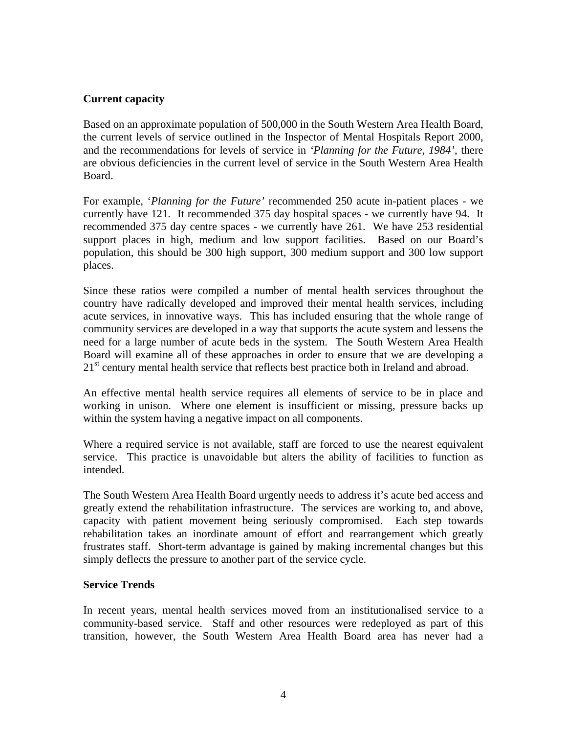## **Current capacity**

Based on an approximate population of 500,000 in the South Western Area Health Board, the current levels of service outlined in the Inspector of Mental Hospitals Report 2000, and the recommendations for levels of service in *'Planning for the Future, 1984',* there are obvious deficiencies in the current level of service in the South Western Area Health Board.

For example, '*Planning for the Future'* recommended 250 acute in-patient places - we currently have 121. It recommended 375 day hospital spaces - we currently have 94. It recommended 375 day centre spaces - we currently have 261. We have 253 residential support places in high, medium and low support facilities. Based on our Board's population, this should be 300 high support, 300 medium support and 300 low support places.

Since these ratios were compiled a number of mental health services throughout the country have radically developed and improved their mental health services, including acute services, in innovative ways. This has included ensuring that the whole range of community services are developed in a way that supports the acute system and lessens the need for a large number of acute beds in the system. The South Western Area Health Board will examine all of these approaches in order to ensure that we are developing a 21<sup>st</sup> century mental health service that reflects best practice both in Ireland and abroad.

An effective mental health service requires all elements of service to be in place and working in unison. Where one element is insufficient or missing, pressure backs up within the system having a negative impact on all components.

Where a required service is not available, staff are forced to use the nearest equivalent service. This practice is unavoidable but alters the ability of facilities to function as intended.

The South Western Area Health Board urgently needs to address it's acute bed access and greatly extend the rehabilitation infrastructure. The services are working to, and above, capacity with patient movement being seriously compromised. Each step towards rehabilitation takes an inordinate amount of effort and rearrangement which greatly frustrates staff. Short-term advantage is gained by making incremental changes but this simply deflects the pressure to another part of the service cycle.

## **Service Trends**

In recent years, mental health services moved from an institutionalised service to a community-based service. Staff and other resources were redeployed as part of this transition, however, the South Western Area Health Board area has never had a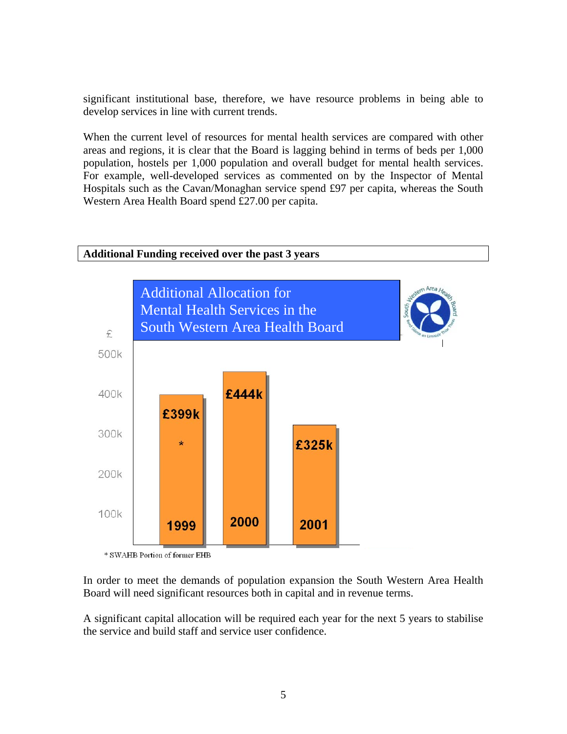significant institutional base, therefore, we have resource problems in being able to develop services in line with current trends.

When the current level of resources for mental health services are compared with other areas and regions, it is clear that the Board is lagging behind in terms of beds per 1,000 population, hostels per 1,000 population and overall budget for mental health services. For example, well-developed services as commented on by the Inspector of Mental Hospitals such as the Cavan/Monaghan service spend £97 per capita, whereas the South Western Area Health Board spend £27.00 per capita.



In order to meet the demands of population expansion the South Western Area Health Board will need significant resources both in capital and in revenue terms.

A significant capital allocation will be required each year for the next 5 years to stabilise the service and build staff and service user confidence.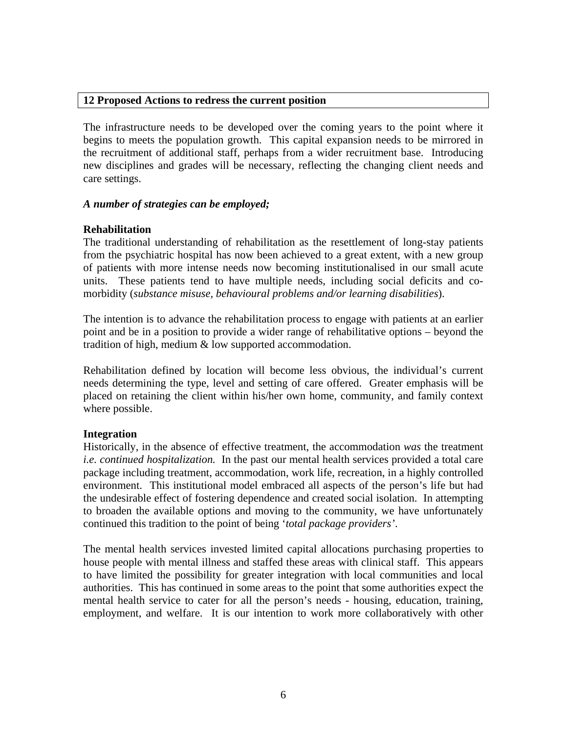### **12 Proposed Actions to redress the current position**

The infrastructure needs to be developed over the coming years to the point where it begins to meets the population growth. This capital expansion needs to be mirrored in the recruitment of additional staff, perhaps from a wider recruitment base. Introducing new disciplines and grades will be necessary, reflecting the changing client needs and care settings.

### *A number of strategies can be employed;*

### **Rehabilitation**

The traditional understanding of rehabilitation as the resettlement of long-stay patients from the psychiatric hospital has now been achieved to a great extent, with a new group of patients with more intense needs now becoming institutionalised in our small acute units. These patients tend to have multiple needs, including social deficits and comorbidity (*substance misuse, behavioural problems and/or learning disabilities*).

The intention is to advance the rehabilitation process to engage with patients at an earlier point and be in a position to provide a wider range of rehabilitative options – beyond the tradition of high, medium & low supported accommodation.

Rehabilitation defined by location will become less obvious, the individual's current needs determining the type, level and setting of care offered. Greater emphasis will be placed on retaining the client within his/her own home, community, and family context where possible.

## **Integration**

Historically, in the absence of effective treatment, the accommodation *was* the treatment *i.e. continued hospitalization.* In the past our mental health services provided a total care package including treatment, accommodation, work life, recreation, in a highly controlled environment. This institutional model embraced all aspects of the person's life but had the undesirable effect of fostering dependence and created social isolation. In attempting to broaden the available options and moving to the community, we have unfortunately continued this tradition to the point of being '*total package providers'*.

The mental health services invested limited capital allocations purchasing properties to house people with mental illness and staffed these areas with clinical staff. This appears to have limited the possibility for greater integration with local communities and local authorities. This has continued in some areas to the point that some authorities expect the mental health service to cater for all the person's needs - housing, education, training, employment, and welfare. It is our intention to work more collaboratively with other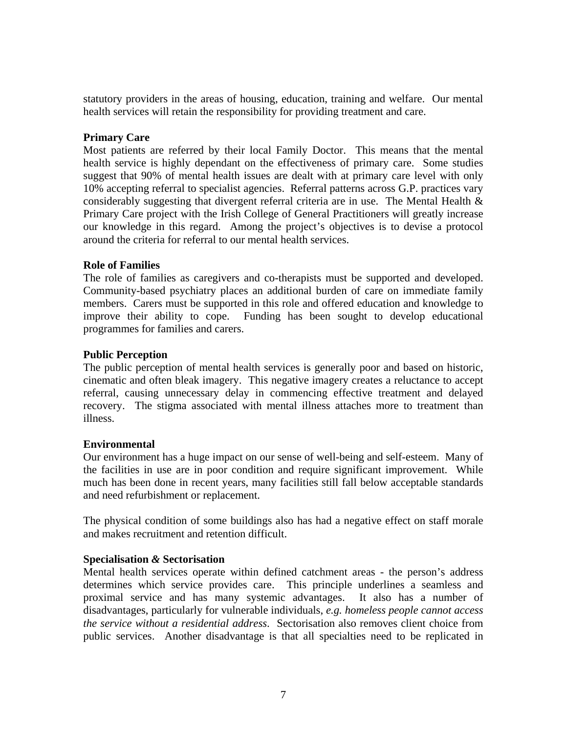statutory providers in the areas of housing, education, training and welfare. Our mental health services will retain the responsibility for providing treatment and care.

## **Primary Care**

Most patients are referred by their local Family Doctor. This means that the mental health service is highly dependant on the effectiveness of primary care. Some studies suggest that 90% of mental health issues are dealt with at primary care level with only 10% accepting referral to specialist agencies. Referral patterns across G.P. practices vary considerably suggesting that divergent referral criteria are in use. The Mental Health & Primary Care project with the Irish College of General Practitioners will greatly increase our knowledge in this regard. Among the project's objectives is to devise a protocol around the criteria for referral to our mental health services.

## **Role of Families**

The role of families as caregivers and co-therapists must be supported and developed. Community-based psychiatry places an additional burden of care on immediate family members. Carers must be supported in this role and offered education and knowledge to improve their ability to cope. Funding has been sought to develop educational programmes for families and carers.

## **Public Perception**

The public perception of mental health services is generally poor and based on historic, cinematic and often bleak imagery. This negative imagery creates a reluctance to accept referral, causing unnecessary delay in commencing effective treatment and delayed recovery. The stigma associated with mental illness attaches more to treatment than illness.

## **Environmental**

Our environment has a huge impact on our sense of well-being and self-esteem. Many of the facilities in use are in poor condition and require significant improvement. While much has been done in recent years, many facilities still fall below acceptable standards and need refurbishment or replacement.

The physical condition of some buildings also has had a negative effect on staff morale and makes recruitment and retention difficult.

# **Specialisation** *&* **Sectorisation**

Mental health services operate within defined catchment areas - the person's address determines which service provides care. This principle underlines a seamless and proximal service and has many systemic advantages. It also has a number of disadvantages, particularly for vulnerable individuals, *e.g. homeless people cannot access the service without a residential address*. Sectorisation also removes client choice from public services. Another disadvantage is that all specialties need to be replicated in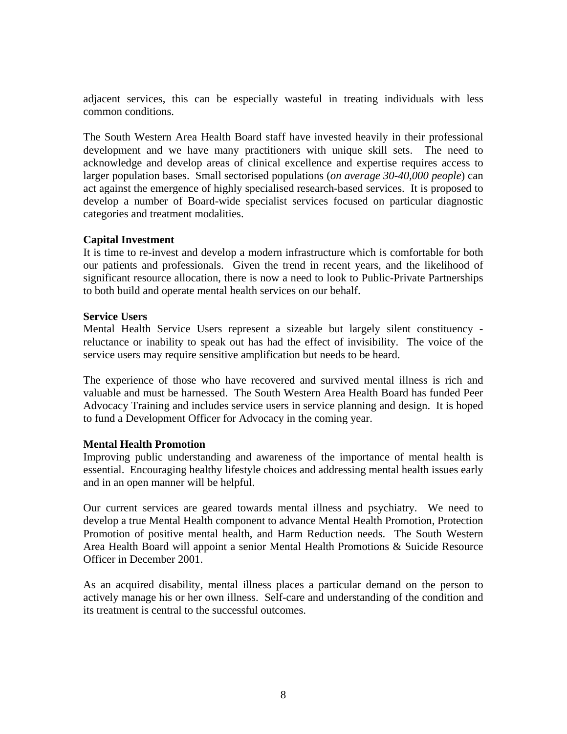adjacent services, this can be especially wasteful in treating individuals with less common conditions.

The South Western Area Health Board staff have invested heavily in their professional development and we have many practitioners with unique skill sets. The need to acknowledge and develop areas of clinical excellence and expertise requires access to larger population bases. Small sectorised populations (*on average 30-40,000 people*) can act against the emergence of highly specialised research-based services. It is proposed to develop a number of Board-wide specialist services focused on particular diagnostic categories and treatment modalities.

## **Capital Investment**

It is time to re-invest and develop a modern infrastructure which is comfortable for both our patients and professionals. Given the trend in recent years, and the likelihood of significant resource allocation, there is now a need to look to Public-Private Partnerships to both build and operate mental health services on our behalf.

## **Service Users**

Mental Health Service Users represent a sizeable but largely silent constituency reluctance or inability to speak out has had the effect of invisibility. The voice of the service users may require sensitive amplification but needs to be heard.

The experience of those who have recovered and survived mental illness is rich and valuable and must be harnessed. The South Western Area Health Board has funded Peer Advocacy Training and includes service users in service planning and design. It is hoped to fund a Development Officer for Advocacy in the coming year.

## **Mental Health Promotion**

Improving public understanding and awareness of the importance of mental health is essential. Encouraging healthy lifestyle choices and addressing mental health issues early and in an open manner will be helpful.

Our current services are geared towards mental illness and psychiatry. We need to develop a true Mental Health component to advance Mental Health Promotion, Protection Promotion of positive mental health, and Harm Reduction needs. The South Western Area Health Board will appoint a senior Mental Health Promotions & Suicide Resource Officer in December 2001.

As an acquired disability, mental illness places a particular demand on the person to actively manage his or her own illness. Self-care and understanding of the condition and its treatment is central to the successful outcomes.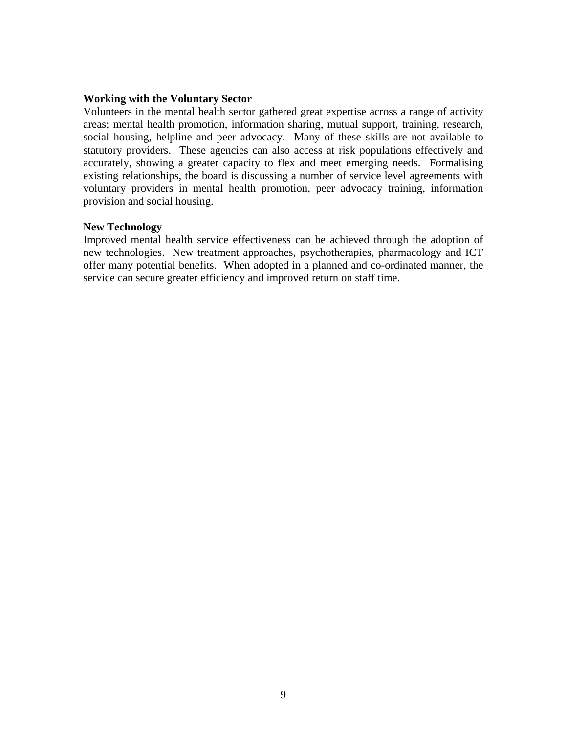### **Working with the Voluntary Sector**

Volunteers in the mental health sector gathered great expertise across a range of activity areas; mental health promotion, information sharing, mutual support, training, research, social housing, helpline and peer advocacy. Many of these skills are not available to statutory providers. These agencies can also access at risk populations effectively and accurately, showing a greater capacity to flex and meet emerging needs. Formalising existing relationships, the board is discussing a number of service level agreements with voluntary providers in mental health promotion, peer advocacy training, information provision and social housing.

### **New Technology**

Improved mental health service effectiveness can be achieved through the adoption of new technologies. New treatment approaches, psychotherapies, pharmacology and ICT offer many potential benefits. When adopted in a planned and co-ordinated manner, the service can secure greater efficiency and improved return on staff time.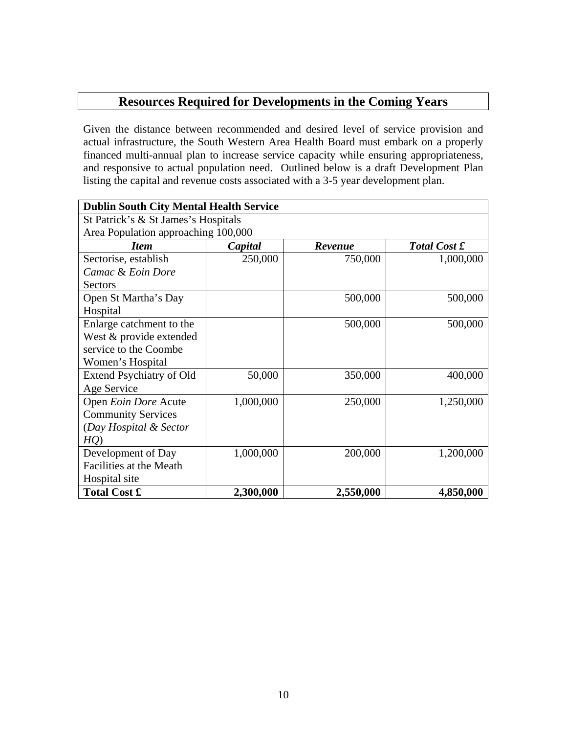# **Resources Required for Developments in the Coming Years**

Given the distance between recommended and desired level of service provision and actual infrastructure, the South Western Area Health Board must embark on a properly financed multi-annual plan to increase service capacity while ensuring appropriateness, and responsive to actual population need. Outlined below is a draft Development Plan listing the capital and revenue costs associated with a 3-5 year development plan.

| <b>Dublin South City Mental Health Service</b> |           |           |                     |  |  |
|------------------------------------------------|-----------|-----------|---------------------|--|--|
| St Patrick's & St James's Hospitals            |           |           |                     |  |  |
| Area Population approaching 100,000            |           |           |                     |  |  |
| <b>Item</b>                                    | Capital   | Revenue   | <b>Total Cost £</b> |  |  |
| Sectorise, establish                           | 250,000   | 750,000   | 1,000,000           |  |  |
| Camac & Eoin Dore                              |           |           |                     |  |  |
| <b>Sectors</b>                                 |           |           |                     |  |  |
| Open St Martha's Day                           |           | 500,000   | 500,000             |  |  |
| Hospital                                       |           |           |                     |  |  |
| Enlarge catchment to the                       |           | 500,000   | 500,000             |  |  |
| West & provide extended                        |           |           |                     |  |  |
| service to the Coombe                          |           |           |                     |  |  |
| Women's Hospital                               |           |           |                     |  |  |
| Extend Psychiatry of Old                       | 50,000    | 350,000   | 400,000             |  |  |
| Age Service                                    |           |           |                     |  |  |
| Open Eoin Dore Acute                           | 1,000,000 | 250,000   | 1,250,000           |  |  |
| <b>Community Services</b>                      |           |           |                     |  |  |
| (Day Hospital & Sector                         |           |           |                     |  |  |
| HQ)                                            |           |           |                     |  |  |
| Development of Day                             | 1,000,000 | 200,000   | 1,200,000           |  |  |
| Facilities at the Meath                        |           |           |                     |  |  |
| Hospital site                                  |           |           |                     |  |  |
| <b>Total Cost £</b>                            | 2,300,000 | 2,550,000 | 4,850,000           |  |  |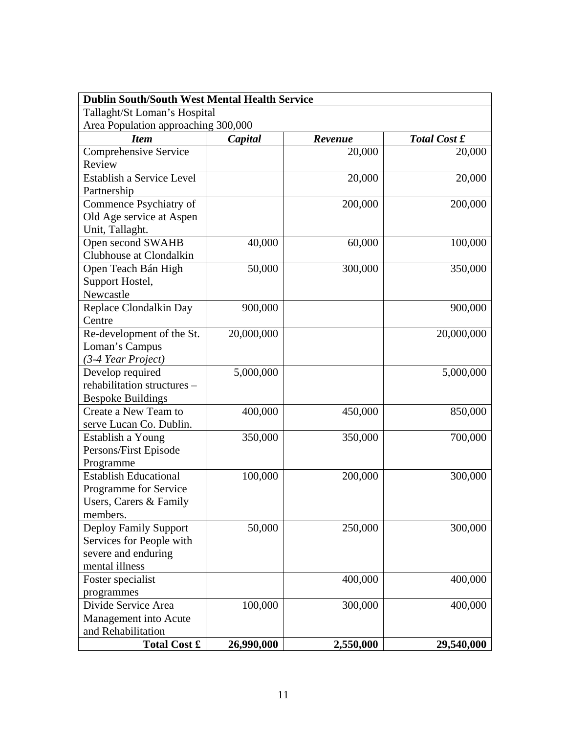| <b>Dublin South/South West Mental Health Service</b> |            |           |              |  |  |
|------------------------------------------------------|------------|-----------|--------------|--|--|
| Tallaght/St Loman's Hospital                         |            |           |              |  |  |
| Area Population approaching 300,000                  |            |           |              |  |  |
| <b>Item</b>                                          | Capital    | Revenue   | Total Cost £ |  |  |
| Comprehensive Service                                |            | 20,000    | 20,000       |  |  |
| Review                                               |            |           |              |  |  |
| Establish a Service Level                            |            | 20,000    | 20,000       |  |  |
| Partnership                                          |            |           |              |  |  |
| Commence Psychiatry of                               |            | 200,000   | 200,000      |  |  |
| Old Age service at Aspen                             |            |           |              |  |  |
| Unit, Tallaght.                                      |            |           |              |  |  |
| Open second SWAHB                                    | 40,000     | 60,000    | 100,000      |  |  |
| Clubhouse at Clondalkin                              |            |           |              |  |  |
| Open Teach Bán High                                  | 50,000     | 300,000   | 350,000      |  |  |
| Support Hostel,                                      |            |           |              |  |  |
| Newcastle                                            |            |           |              |  |  |
| Replace Clondalkin Day                               | 900,000    |           | 900,000      |  |  |
| Centre                                               |            |           |              |  |  |
| Re-development of the St.                            | 20,000,000 |           | 20,000,000   |  |  |
| Loman's Campus                                       |            |           |              |  |  |
| (3-4 Year Project)                                   |            |           |              |  |  |
| Develop required                                     | 5,000,000  |           | 5,000,000    |  |  |
| rehabilitation structures -                          |            |           |              |  |  |
| <b>Bespoke Buildings</b>                             |            |           |              |  |  |
| Create a New Team to                                 | 400,000    | 450,000   | 850,000      |  |  |
| serve Lucan Co. Dublin.                              |            |           |              |  |  |
| Establish a Young                                    | 350,000    | 350,000   | 700,000      |  |  |
| Persons/First Episode                                |            |           |              |  |  |
| Programme                                            |            |           |              |  |  |
| <b>Establish Educational</b>                         | 100,000    | 200,000   | 300,000      |  |  |
| Programme for Service                                |            |           |              |  |  |
| Users, Carers & Family                               |            |           |              |  |  |
| members.                                             |            |           |              |  |  |
| <b>Deploy Family Support</b>                         | 50,000     | 250,000   | 300,000      |  |  |
| Services for People with                             |            |           |              |  |  |
| severe and enduring                                  |            |           |              |  |  |
| mental illness                                       |            |           |              |  |  |
| Foster specialist                                    |            | 400,000   | 400,000      |  |  |
| programmes                                           |            |           |              |  |  |
| Divide Service Area                                  | 100,000    | 300,000   | 400,000      |  |  |
| Management into Acute                                |            |           |              |  |  |
| and Rehabilitation                                   |            |           |              |  |  |
| <b>Total Cost £</b>                                  | 26,990,000 | 2,550,000 | 29,540,000   |  |  |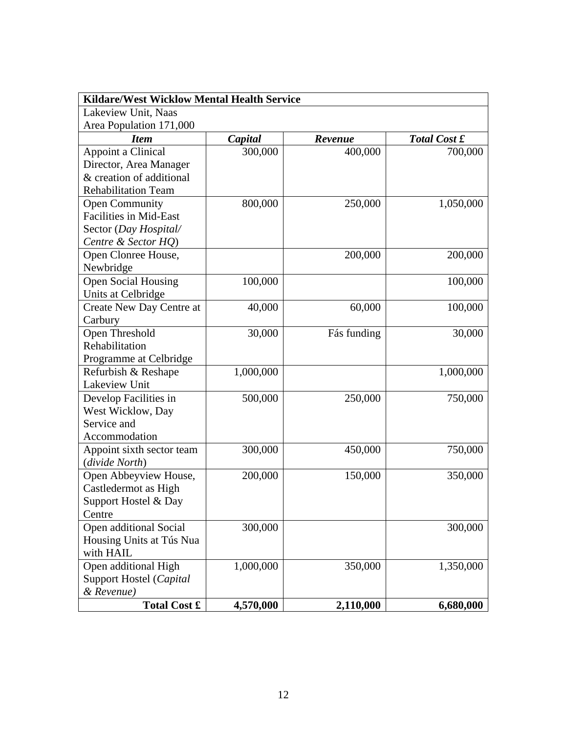| <b>Kildare/West Wicklow Mental Health Service</b> |           |             |              |  |  |
|---------------------------------------------------|-----------|-------------|--------------|--|--|
| Lakeview Unit, Naas                               |           |             |              |  |  |
| Area Population 171,000                           |           |             |              |  |  |
| <b>Item</b>                                       | Capital   | Revenue     | Total Cost £ |  |  |
| Appoint a Clinical                                | 300,000   | 400,000     | 700,000      |  |  |
| Director, Area Manager                            |           |             |              |  |  |
| & creation of additional                          |           |             |              |  |  |
| <b>Rehabilitation Team</b>                        |           |             |              |  |  |
| <b>Open Community</b>                             | 800,000   | 250,000     | 1,050,000    |  |  |
| <b>Facilities in Mid-East</b>                     |           |             |              |  |  |
| Sector (Day Hospital/                             |           |             |              |  |  |
| Centre & Sector HQ)                               |           |             |              |  |  |
| Open Clonree House,                               |           | 200,000     | 200,000      |  |  |
| Newbridge                                         |           |             |              |  |  |
| <b>Open Social Housing</b>                        | 100,000   |             | 100,000      |  |  |
| Units at Celbridge                                |           |             |              |  |  |
| Create New Day Centre at                          | 40,000    | 60,000      | 100,000      |  |  |
| Carbury                                           |           |             |              |  |  |
| Open Threshold                                    | 30,000    | Fás funding | 30,000       |  |  |
| Rehabilitation                                    |           |             |              |  |  |
| Programme at Celbridge                            |           |             |              |  |  |
| Refurbish & Reshape                               | 1,000,000 |             | 1,000,000    |  |  |
| Lakeview Unit                                     |           |             |              |  |  |
| Develop Facilities in                             | 500,000   | 250,000     | 750,000      |  |  |
| West Wicklow, Day                                 |           |             |              |  |  |
| Service and                                       |           |             |              |  |  |
| Accommodation                                     |           |             |              |  |  |
| Appoint sixth sector team                         | 300,000   | 450,000     | 750,000      |  |  |
| (divide North)                                    |           |             |              |  |  |
| Open Abbeyview House,                             | 200,000   | 150,000     | 350,000      |  |  |
| Castledermot as High                              |           |             |              |  |  |
| Support Hostel & Day                              |           |             |              |  |  |
| Centre                                            |           |             |              |  |  |
| Open additional Social                            | 300,000   |             | 300,000      |  |  |
| Housing Units at Tús Nua                          |           |             |              |  |  |
| with HAIL                                         |           |             |              |  |  |
| Open additional High                              | 1,000,000 | 350,000     | 1,350,000    |  |  |
| Support Hostel (Capital                           |           |             |              |  |  |
| & Revenue)                                        |           |             |              |  |  |
| <b>Total Cost £</b>                               | 4,570,000 | 2,110,000   | 6,680,000    |  |  |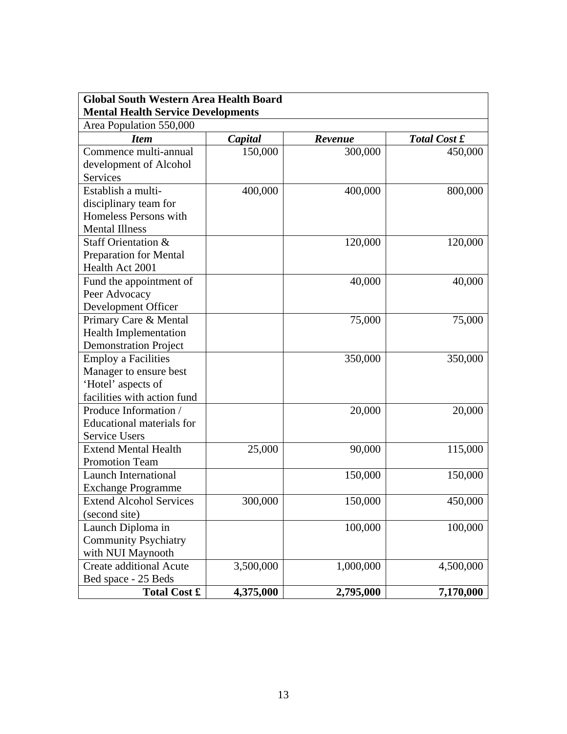| <b>Global South Western Area Health Board</b> |           |           |                     |  |  |
|-----------------------------------------------|-----------|-----------|---------------------|--|--|
| <b>Mental Health Service Developments</b>     |           |           |                     |  |  |
| Area Population 550,000                       |           |           |                     |  |  |
| <b>Item</b>                                   | Capital   | Revenue   | <b>Total Cost £</b> |  |  |
| Commence multi-annual                         | 150,000   | 300,000   | 450,000             |  |  |
| development of Alcohol                        |           |           |                     |  |  |
| <b>Services</b>                               |           |           |                     |  |  |
| Establish a multi-                            | 400,000   | 400,000   | 800,000             |  |  |
| disciplinary team for                         |           |           |                     |  |  |
| Homeless Persons with                         |           |           |                     |  |  |
| <b>Mental Illness</b>                         |           |           |                     |  |  |
| Staff Orientation &                           |           | 120,000   | 120,000             |  |  |
| Preparation for Mental                        |           |           |                     |  |  |
| Health Act 2001                               |           |           |                     |  |  |
| Fund the appointment of                       |           | 40,000    | 40,000              |  |  |
| Peer Advocacy                                 |           |           |                     |  |  |
| Development Officer                           |           |           |                     |  |  |
| Primary Care & Mental                         |           | 75,000    | 75,000              |  |  |
| <b>Health Implementation</b>                  |           |           |                     |  |  |
| <b>Demonstration Project</b>                  |           |           |                     |  |  |
| <b>Employ a Facilities</b>                    |           | 350,000   | 350,000             |  |  |
| Manager to ensure best                        |           |           |                     |  |  |
| 'Hotel' aspects of                            |           |           |                     |  |  |
| facilities with action fund                   |           |           |                     |  |  |
| Produce Information /                         |           | 20,000    | 20,000              |  |  |
| <b>Educational materials for</b>              |           |           |                     |  |  |
| <b>Service Users</b>                          |           |           |                     |  |  |
| <b>Extend Mental Health</b>                   | 25,000    | 90,000    | 115,000             |  |  |
| <b>Promotion Team</b>                         |           |           |                     |  |  |
| <b>Launch International</b>                   |           | 150,000   | 150,000             |  |  |
| <b>Exchange Programme</b>                     |           |           |                     |  |  |
| <b>Extend Alcohol Services</b>                | 300,000   | 150,000   | 450,000             |  |  |
| (second site)                                 |           |           |                     |  |  |
| Launch Diploma in                             |           | 100,000   | 100,000             |  |  |
| <b>Community Psychiatry</b>                   |           |           |                     |  |  |
| with NUI Maynooth                             |           |           |                     |  |  |
| <b>Create additional Acute</b>                | 3,500,000 | 1,000,000 | 4,500,000           |  |  |
| Bed space - 25 Beds                           |           |           |                     |  |  |
| <b>Total Cost £</b>                           | 4,375,000 | 2,795,000 | 7,170,000           |  |  |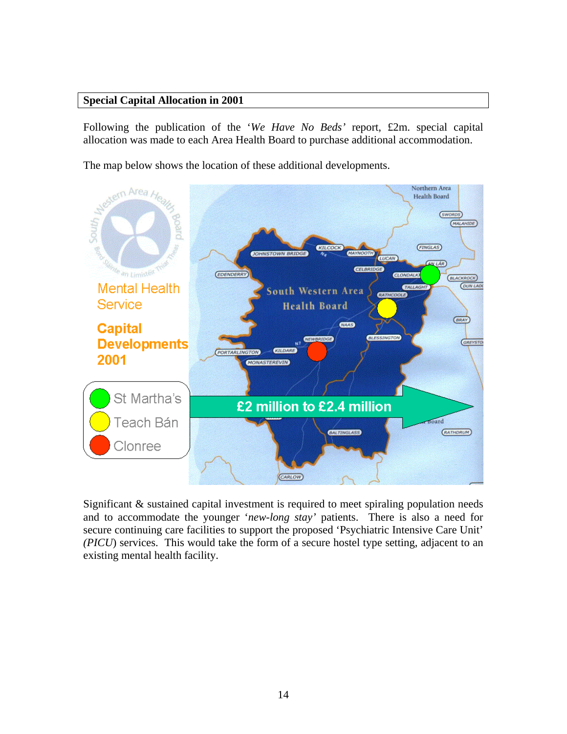## **Special Capital Allocation in 2001**

Following the publication of the '*We Have No Beds'* report, £2m. special capital allocation was made to each Area Health Board to purchase additional accommodation.

The map below shows the location of these additional developments.



Significant & sustained capital investment is required to meet spiraling population needs and to accommodate the younger '*new-long stay'* patients. There is also a need for secure continuing care facilities to support the proposed 'Psychiatric Intensive Care Unit' *(PICU*) services. This would take the form of a secure hostel type setting, adjacent to an existing mental health facility.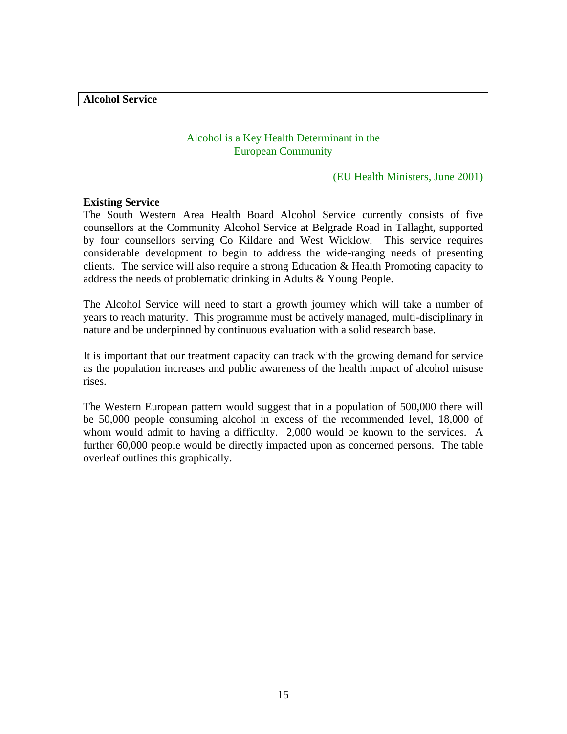**Alcohol Service** 

## Alcohol is a Key Health Determinant in the European Community

#### (EU Health Ministers, June 2001)

### **Existing Service**

The South Western Area Health Board Alcohol Service currently consists of five counsellors at the Community Alcohol Service at Belgrade Road in Tallaght, supported by four counsellors serving Co Kildare and West Wicklow. This service requires considerable development to begin to address the wide-ranging needs of presenting clients. The service will also require a strong Education & Health Promoting capacity to address the needs of problematic drinking in Adults & Young People.

The Alcohol Service will need to start a growth journey which will take a number of years to reach maturity. This programme must be actively managed, multi-disciplinary in nature and be underpinned by continuous evaluation with a solid research base.

It is important that our treatment capacity can track with the growing demand for service as the population increases and public awareness of the health impact of alcohol misuse rises.

The Western European pattern would suggest that in a population of 500,000 there will be 50,000 people consuming alcohol in excess of the recommended level, 18,000 of whom would admit to having a difficulty. 2,000 would be known to the services. A further 60,000 people would be directly impacted upon as concerned persons. The table overleaf outlines this graphically.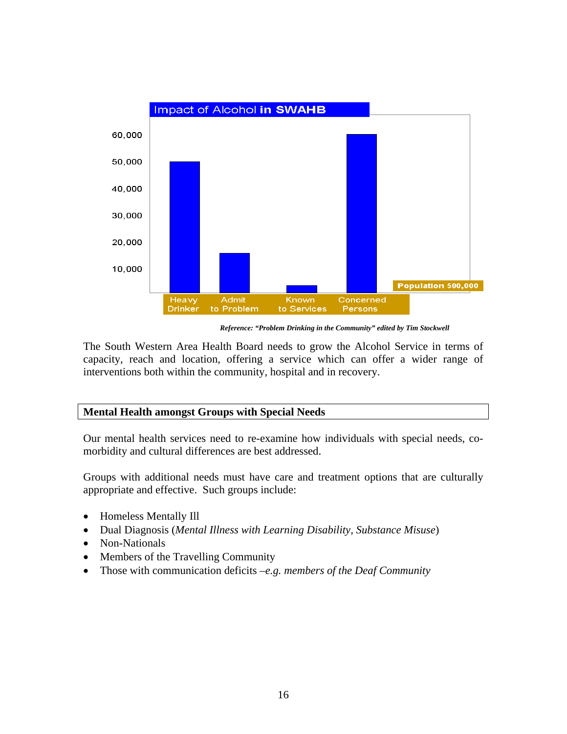

*Reference: "Problem Drinking in the Community" edited by Tim Stockwell* 

The South Western Area Health Board needs to grow the Alcohol Service in terms of capacity, reach and location, offering a service which can offer a wider range of interventions both within the community, hospital and in recovery.

# **Mental Health amongst Groups with Special Needs**

Our mental health services need to re-examine how individuals with special needs, comorbidity and cultural differences are best addressed.

Groups with additional needs must have care and treatment options that are culturally appropriate and effective. Such groups include:

- Homeless Mentally Ill
- Dual Diagnosis (*Mental Illness with Learning Disability, Substance Misuse*)
- Non-Nationals
- Members of the Travelling Community
- Those with communication deficits –*e.g. members of the Deaf Community*